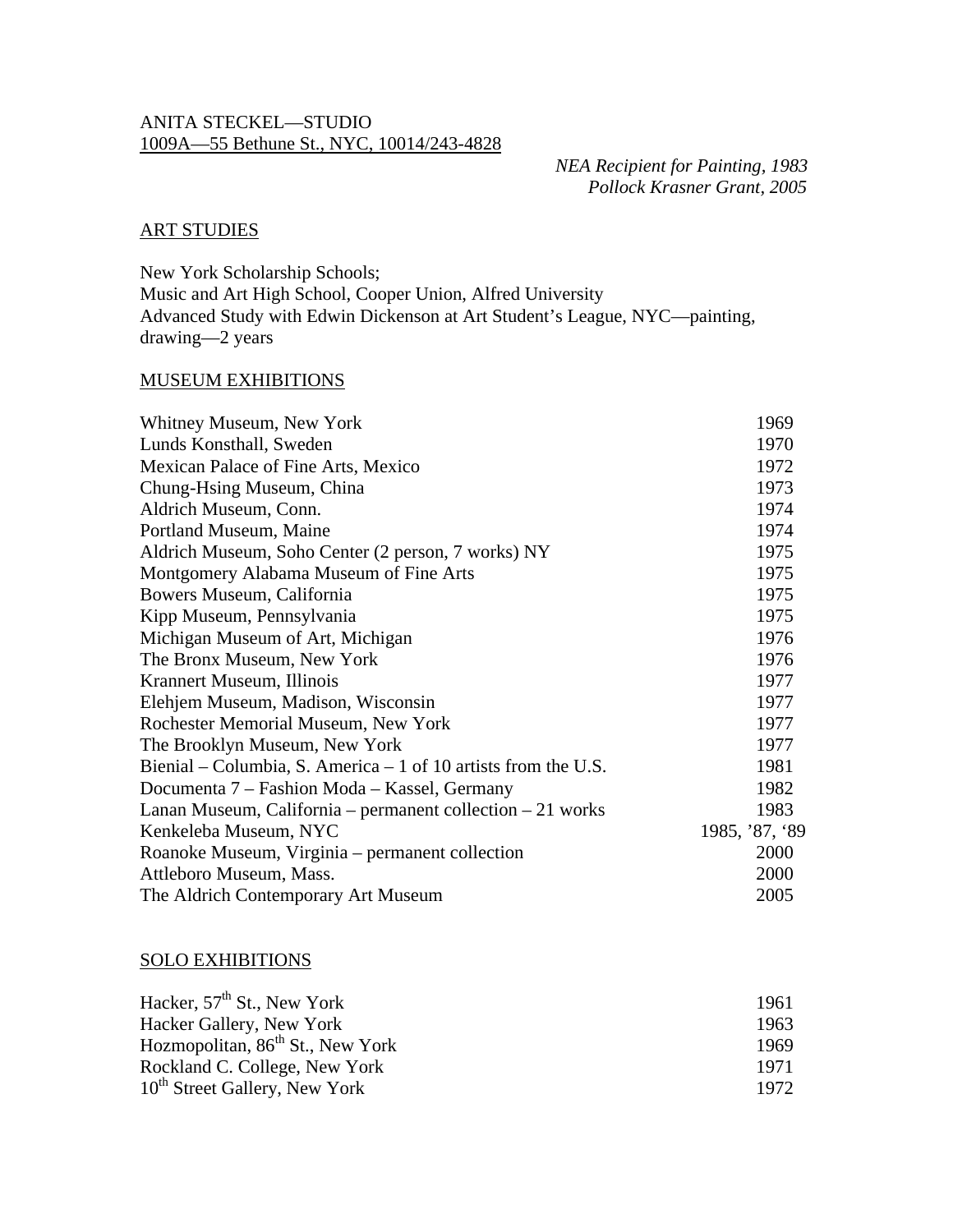# ANITA STECKEL—STUDIO 1009A—55 Bethune St., NYC, 10014/243-4828

 *NEA Recipient for Painting, 1983 Pollock Krasner Grant, 2005*

## ART STUDIES

New York Scholarship Schools; Music and Art High School, Cooper Union, Alfred University Advanced Study with Edwin Dickenson at Art Student's League, NYC—painting, drawing—2 years

## MUSEUM EXHIBITIONS

| Whitney Museum, New York                                       | 1969           |
|----------------------------------------------------------------|----------------|
| Lunds Konsthall, Sweden                                        | 1970           |
| Mexican Palace of Fine Arts, Mexico                            | 1972           |
| Chung-Hsing Museum, China                                      | 1973           |
| Aldrich Museum, Conn.                                          | 1974           |
| Portland Museum, Maine                                         | 1974           |
| Aldrich Museum, Soho Center (2 person, 7 works) NY             | 1975           |
| Montgomery Alabama Museum of Fine Arts                         | 1975           |
| Bowers Museum, California                                      | 1975           |
| Kipp Museum, Pennsylvania                                      | 1975           |
| Michigan Museum of Art, Michigan                               | 1976           |
| The Bronx Museum, New York                                     | 1976           |
| Krannert Museum, Illinois                                      | 1977           |
| Elehjem Museum, Madison, Wisconsin                             | 1977           |
| Rochester Memorial Museum, New York                            | 1977           |
| The Brooklyn Museum, New York                                  | 1977           |
| Bienial – Columbia, S. America – 1 of 10 artists from the U.S. | 1981           |
| Documenta 7 – Fashion Moda – Kassel, Germany                   | 1982           |
| Lanan Museum, California – permanent collection $-21$ works    | 1983           |
| Kenkeleba Museum, NYC                                          | 1985, '87, '89 |
| Roanoke Museum, Virginia – permanent collection                | 2000           |
| Attleboro Museum, Mass.                                        | 2000           |
| The Aldrich Contemporary Art Museum                            | 2005           |

## SOLO EXHIBITIONS

| Hacker, $57th$ St., New York                 | 1961 |
|----------------------------------------------|------|
| Hacker Gallery, New York                     | 1963 |
| Hozmopolitan, 86 <sup>th</sup> St., New York | 1969 |
| Rockland C. College, New York                | 1971 |
| 10 <sup>th</sup> Street Gallery, New York    | 1972 |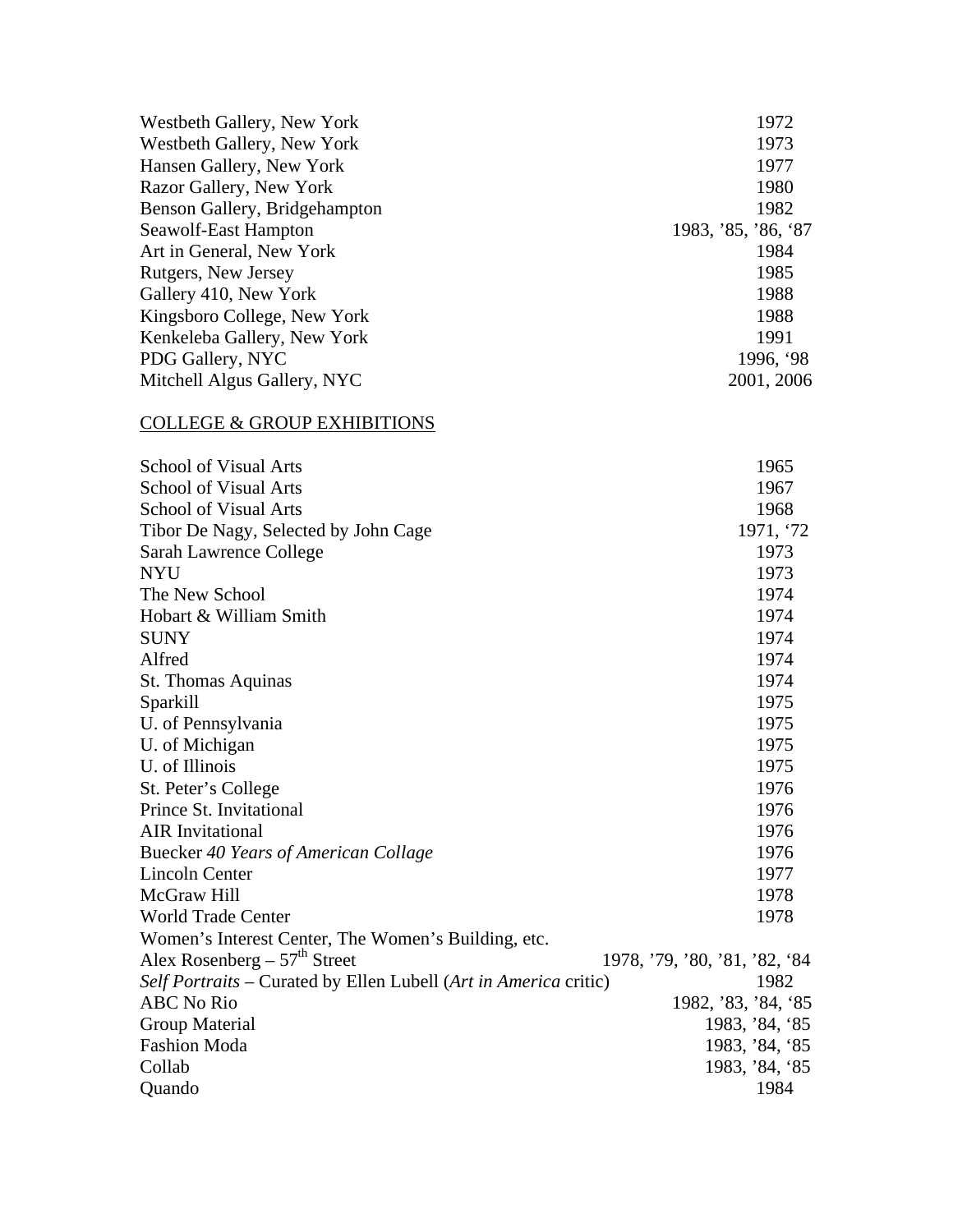| Westbeth Gallery, New York                                       | 1972                          |
|------------------------------------------------------------------|-------------------------------|
| Westbeth Gallery, New York                                       | 1973                          |
| Hansen Gallery, New York                                         | 1977                          |
| Razor Gallery, New York                                          | 1980                          |
| Benson Gallery, Bridgehampton                                    | 1982                          |
| Seawolf-East Hampton                                             | 1983, '85, '86, '87           |
| Art in General, New York                                         | 1984                          |
| Rutgers, New Jersey                                              | 1985                          |
| Gallery 410, New York                                            | 1988                          |
| Kingsboro College, New York                                      | 1988                          |
| Kenkeleba Gallery, New York                                      | 1991                          |
| PDG Gallery, NYC                                                 | 1996, '98                     |
| Mitchell Algus Gallery, NYC                                      | 2001, 2006                    |
| <b>COLLEGE &amp; GROUP EXHIBITIONS</b>                           |                               |
| <b>School of Visual Arts</b>                                     | 1965                          |
| <b>School of Visual Arts</b>                                     | 1967                          |
| <b>School of Visual Arts</b>                                     | 1968                          |
| Tibor De Nagy, Selected by John Cage                             | 1971, '72                     |
| Sarah Lawrence College                                           | 1973                          |
| <b>NYU</b>                                                       | 1973                          |
| The New School                                                   | 1974                          |
| Hobart & William Smith                                           | 1974                          |
| <b>SUNY</b>                                                      | 1974                          |
| Alfred                                                           | 1974                          |
| St. Thomas Aquinas                                               | 1974                          |
| Sparkill                                                         | 1975                          |
| U. of Pennsylvania                                               | 1975                          |
| U. of Michigan                                                   | 1975                          |
| U. of Illinois                                                   | 1975                          |
| St. Peter's College                                              | 1976                          |
| Prince St. Invitational                                          | 1976                          |
| <b>AIR</b> Invitational                                          | 1976                          |
| <b>Buecker 40 Years of American Collage</b>                      | 1976                          |
| <b>Lincoln Center</b>                                            | 1977                          |
| McGraw Hill                                                      | 1978                          |
| World Trade Center                                               | 1978                          |
| Women's Interest Center, The Women's Building, etc.              |                               |
| Alex Rosenberg $-57th$ Street                                    | 1978, '79, '80, '81, '82, '84 |
| Self Portraits - Curated by Ellen Lubell (Art in America critic) | 1982                          |
| <b>ABC No Rio</b>                                                | 1982, '83, '84, '85           |
| Group Material                                                   | 1983, '84, '85                |
| <b>Fashion Moda</b>                                              | 1983, '84, '85                |
| Collab                                                           | 1983, '84, '85                |
| Quando                                                           | 1984                          |